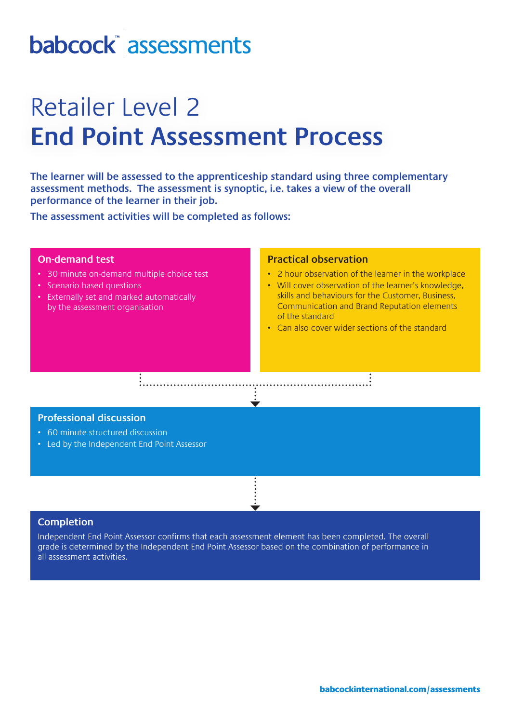# babcock assessments

## Retailer Level 2 **End Point Assessment Process**

**The learner will be assessed to the apprenticeship standard using three complementary assessment methods. The assessment is synoptic, i.e. takes a view of the overall performance of the learner in their job.** 

**The assessment activities will be completed as follows:**

### **On-demand test**

- 30 minute on-demand multiple choice test
- Scenario based questions
- Externally set and marked automatically by the assessment organisation

### **Practical observation**

- 2 hour observation of the learner in the workplace
- Will cover observation of the learner's knowledge, skills and behaviours for the Customer, Business, Communication and Brand Reputation elements of the standard
- Can also cover wider sections of the standard

### **Professional discussion**

- 60 minute structured discussion
- Led by the Independent End Point Assessor

#### **Completion**

Independent End Point Assessor confirms that each assessment element has been completed. The overall grade is determined by the Independent End Point Assessor based on the combination of performance in all assessment activities.